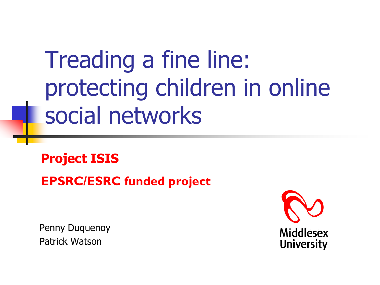Treading a fine line: protecting children in online social networks

**Project ISIS**

**EPSRC/ESRC funded project**

Penny Duquenoy Patrick Watson

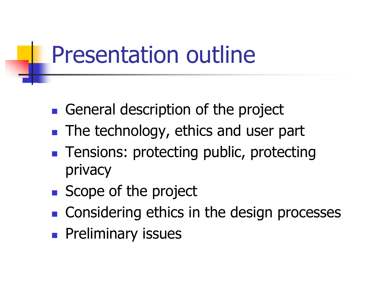## Presentation outline

- General description of the project
- **The technology, ethics and user part**
- **Tensions: protecting public, protecting** privacy
- Scope of the project
- Considering ethics in the design processes
- **Preliminary issues**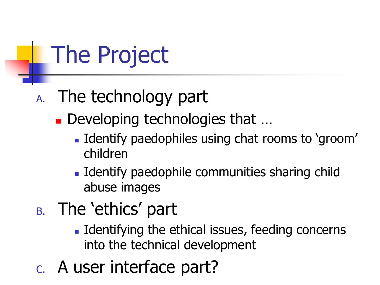The Project

- A. The technology part
	- Developing technologies that ...
		- **I** Identify paedophiles using chat rooms to 'groom' children
		- **Identify paedophile communities sharing child** abuse images
- B. The 'ethics' part
	- **IDENT** Identifying the ethical issues, feeding concerns into the technical development
- C. A user interface part?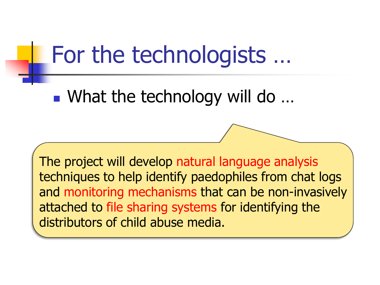### For the technologists …

■ What the technology will do ...

The project will develop natural language analysis techniques to help identify paedophiles from chat logs and monitoring mechanisms that can be non-invasively attached to file sharing systems for identifying the distributors of child abuse media.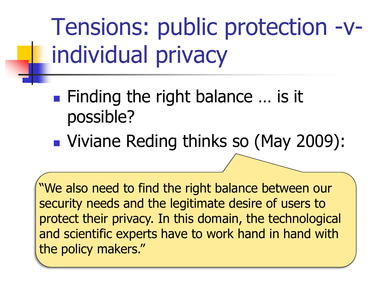Tensions: public protection -vindividual privacy

- Finding the right balance ... is it possible?
- **Viviane Reding thinks so (May 2009):**

"We also need to find the right balance between our security needs and the legitimate desire of users to protect their privacy. In this domain, the technological and scientific experts have to work hand in hand with the policy makers."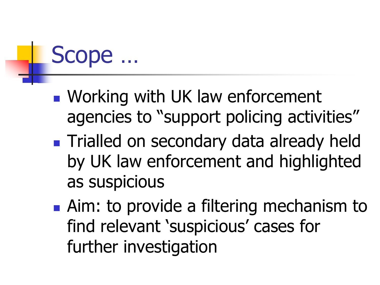# Scope …

- **Norking with UK law enforcement** agencies to "support policing activities"
- **Trialled on secondary data already held** by UK law enforcement and highlighted as suspicious
- **Aim: to provide a filtering mechanism to** find relevant 'suspicious' cases for further investigation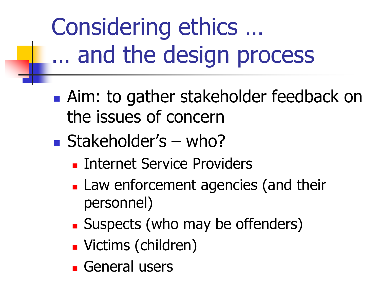Considering ethics … … and the design process

- **Aim: to gather stakeholder feedback on** the issues of concern
- $\blacksquare$  Stakeholder's who?
	- **Internet Service Providers**
	- **Law enforcement agencies (and their** personnel)
	- **Suspects (who may be offenders)**
	- Victims (children)
	- **General users**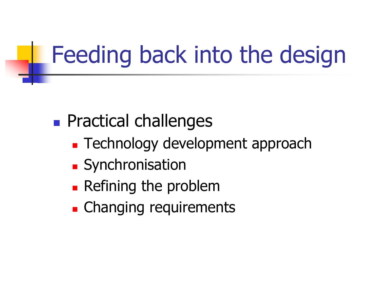# Feeding back into the design

#### **Practical challenges**

- **Technology development approach**
- **Synchronisation**
- **Refining the problem**
- **Example 2** Changing requirements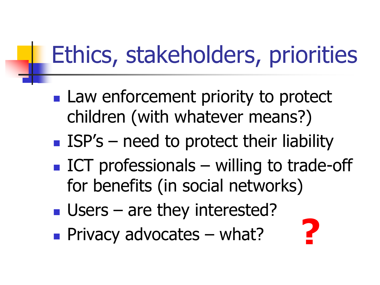# Ethics, stakeholders, priorities

- **Law enforcement priority to protect** children (with whatever means?)
- ISP's need to protect their liability
- $\blacksquare$  ICT professionals willing to trade-off for benefits (in social networks)
- **Users** are they interested?
- **Privacy advocates what?**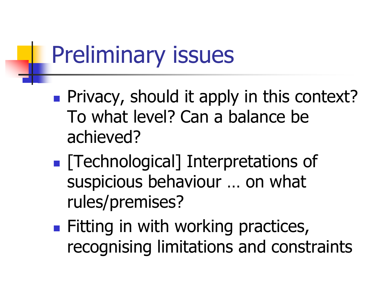## Preliminary issues

- **Privacy, should it apply in this context?** To what level? Can a balance be achieved?
- **Fig. 1** Technological] Interpretations of suspicious behaviour … on what rules/premises?
- **Fitting in with working practices,** recognising limitations and constraints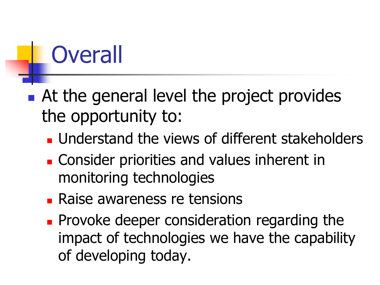# **Overall**

#### ■ At the general level the project provides the opportunity to:

- **Understand the views of different stakeholders**
- **Example 2** Consider priorities and values inherent in monitoring technologies
- **Raise awareness re tensions**
- **Provoke deeper consideration regarding the** impact of technologies we have the capability of developing today.